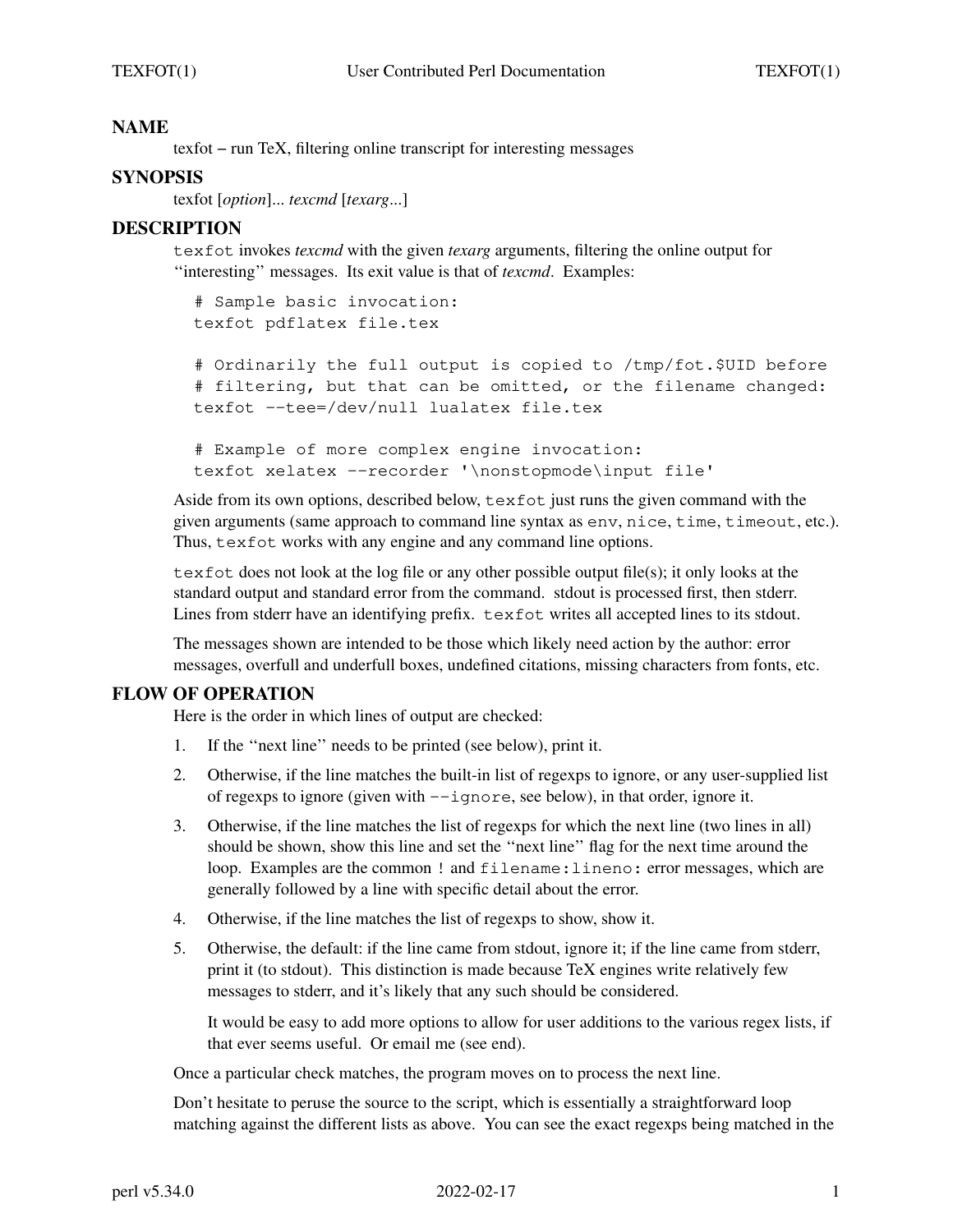# **NAME**

texfot − run TeX, filtering online transcript for interesting messages

# **SYNOPSIS**

texfot [*option*]... *texcmd* [*texarg*...]

### **DESCRIPTION**

texfot invokes *texcmd* with the given *texarg* arguments, filtering the online output for ''interesting'' messages. Its exit value is that of *texcmd*. Examples:

# Sample basic invocation: texfot pdflatex file.tex

# Ordinarily the full output is copied to /tmp/fot.\$UID before # filtering, but that can be omitted, or the filename changed: texfot −−tee=/dev/null lualatex file.tex

```
# Example of more complex engine invocation:
texfot xelatex −−recorder '\nonstopmode\input file'
```
Aside from its own options, described below,  $\text{text } \epsilon \times \text{text of}$  just runs the given command with the given arguments (same approach to command line syntax as env, nice, time, timeout, etc.). Thus, texfot works with any engine and any command line options.

texfot does not look at the log file or any other possible output file(s); it only looks at the standard output and standard error from the command. stdout is processed first, then stderr. Lines from stderr have an identifying prefix. texfot writes all accepted lines to its stdout.

The messages shown are intended to be those which likely need action by the author: error messages, overfull and underfull boxes, undefined citations, missing characters from fonts, etc.

#### **FLOW OF OPERATION**

Here is the order in which lines of output are checked:

- 1. If the ''next line'' needs to be printed (see below), print it.
- 2. Otherwise, if the line matches the built-in list of regexps to ignore, or any user-supplied list of regexps to ignore (given with −−ignore, see below), in that order, ignore it.
- 3. Otherwise, if the line matches the list of regexps for which the next line (two lines in all) should be shown, show this line and set the ''next line'' flag for the next time around the loop. Examples are the common ! and filename:lineno: error messages, which are generally followed by a line with specific detail about the error.
- 4. Otherwise, if the line matches the list of regexps to show, show it.
- 5. Otherwise, the default: if the line came from stdout, ignore it; if the line came from stderr, print it (to stdout). This distinction is made because TeX engines write relatively few messages to stderr, and it's likely that any such should be considered.

It would be easy to add more options to allow for user additions to the various regex lists, if that ever seems useful. Or email me (see end).

Once a particular check matches, the program moves on to process the next line.

Don't hesitate to peruse the source to the script, which is essentially a straightforward loop matching against the different lists as above. You can see the exact regexps being matched in the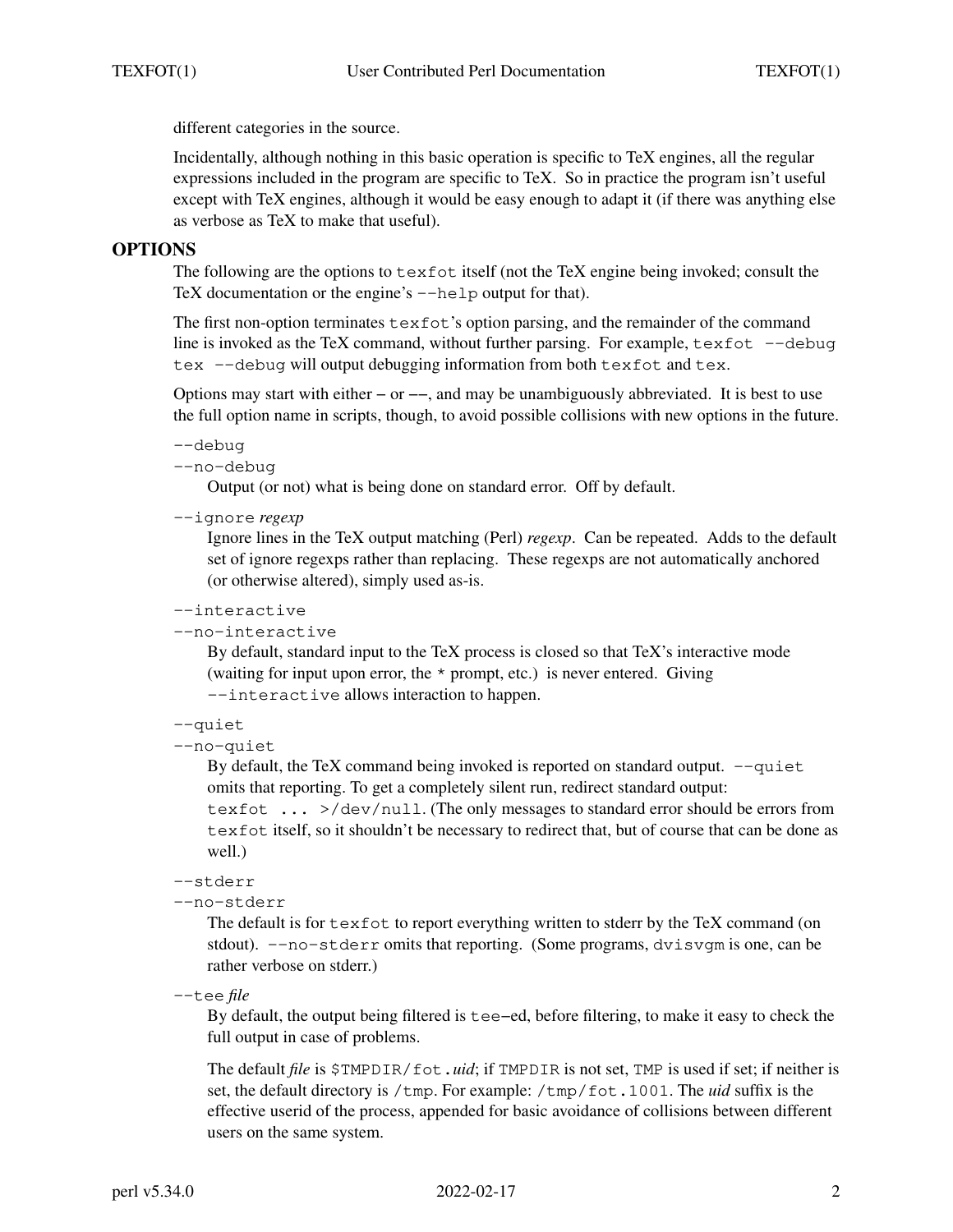different categories in the source.

Incidentally, although nothing in this basic operation is specific to TeX engines, all the regular expressions included in the program are specific to TeX. So in practice the program isn't useful except with TeX engines, although it would be easy enough to adapt it (if there was anything else as verbose as TeX to make that useful).

### **OPTIONS**

The following are the options to texfot itself (not the TeX engine being invoked; consult the TeX documentation or the engine's --help output for that).

The first non-option terminates  $\text{text of }$ 's option parsing, and the remainder of the command line is invoked as the TeX command, without further parsing. For example, texfot −−debug tex −−debug will output debugging information from both texfot and tex.

Options may start with either − or −−, and may be unambiguously abbreviated. It is best to use the full option name in scripts, though, to avoid possible collisions with new options in the future.

```
−−debug
```

```
−−no−debug
```
Output (or not) what is being done on standard error. Off by default.

−−ignore *regexp*

Ignore lines in the TeX output matching (Perl) *regexp*. Can be repeated. Adds to the default set of ignore regexps rather than replacing. These regexps are not automatically anchored (or otherwise altered), simply used as-is.

```
−−interactive
```

```
−−no−interactive
```
By default, standard input to the TeX process is closed so that TeX's interactive mode (waiting for input upon error, the \* prompt, etc.) is never entered. Giving −−interactive allows interaction to happen.

```
−−quiet
```
−−no−quiet

By default, the TeX command being invoked is reported on standard output. −−quiet omits that reporting. To get a completely silent run, redirect standard output:

texfot ... >/dev/null. (The only messages to standard error should be errors from texfot itself, so it shouldn't be necessary to redirect that, but of course that can be done as well.)

```
−−stderr
```

```
−−no−stderr
```
The default is for  $text{text event}$  everything written to stderr by the TeX command (on stdout). −−no−stderr omits that reporting. (Some programs, dvisvgm is one, can be rather verbose on stderr.)

−−tee *file*

By default, the output being filtered is tee−ed, before filtering, to make it easy to check the full output in case of problems.

The default *file* is \$TMPDIR/fot.*uid*; if TMPDIR is not set, TMP is used if set; if neither is set, the default directory is /tmp. For example: /tmp/fot.1001. The *uid* suffix is the effective userid of the process, appended for basic avoidance of collisions between different users on the same system.